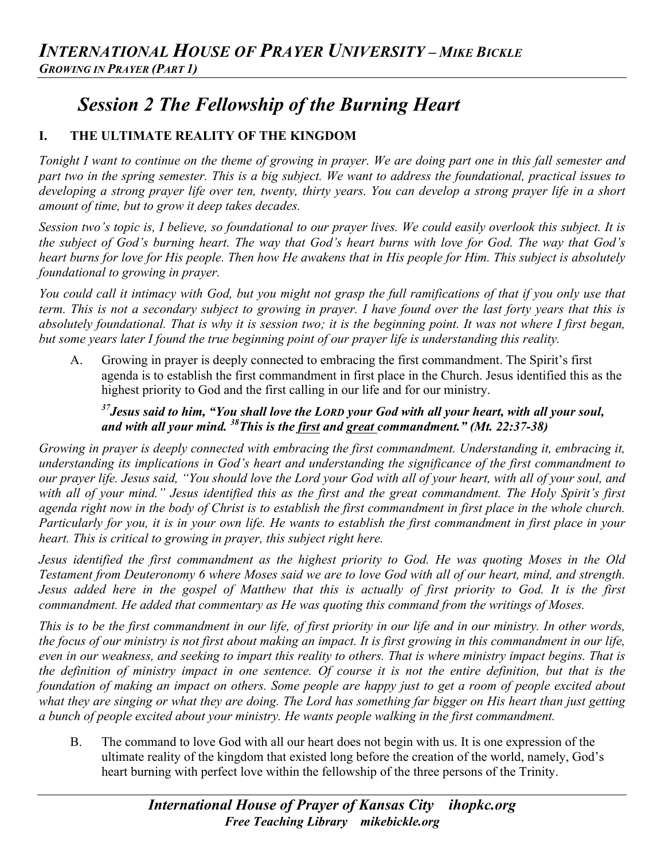# *Session 2 The Fellowship of the Burning Heart*

# **I. THE ULTIMATE REALITY OF THE KINGDOM**

*Tonight I want to continue on the theme of growing in prayer. We are doing part one in this fall semester and part two in the spring semester. This is a big subject. We want to address the foundational, practical issues to developing a strong prayer life over ten, twenty, thirty years. You can develop a strong prayer life in a short amount of time, but to grow it deep takes decades.*

*Session two's topic is, I believe, so foundational to our prayer lives. We could easily overlook this subject. It is the subject of God's burning heart. The way that God's heart burns with love for God. The way that God's heart burns for love for His people. Then how He awakens that in His people for Him. This subject is absolutely foundational to growing in prayer.*

*You could call it intimacy with God, but you might not grasp the full ramifications of that if you only use that term. This is not a secondary subject to growing in prayer. I have found over the last forty years that this is absolutely foundational. That is why it is session two; it is the beginning point. It was not where I first began, but some years later I found the true beginning point of our prayer life is understanding this reality.*

A. Growing in prayer is deeply connected to embracing the first commandment. The Spirit's first agenda is to establish the first commandment in first place in the Church. Jesus identified this as the highest priority to God and the first calling in our life and for our ministry.

#### *37Jesus said to him, "You shall love the LORD your God with all your heart, with all your soul, and with all your mind. 38This is the first and great commandment." (Mt. 22:37-38)*

*Growing in prayer is deeply connected with embracing the first commandment. Understanding it, embracing it, understanding its implications in God's heart and understanding the significance of the first commandment to our prayer life. Jesus said, "You should love the Lord your God with all of your heart, with all of your soul, and*  with all of your mind." Jesus identified this as the first and the great commandment. The Holy Spirit's first *agenda right now in the body of Christ is to establish the first commandment in first place in the whole church. Particularly for you, it is in your own life. He wants to establish the first commandment in first place in your heart. This is critical to growing in prayer, this subject right here.* 

*Jesus identified the first commandment as the highest priority to God. He was quoting Moses in the Old Testament from Deuteronomy 6 where Moses said we are to love God with all of our heart, mind, and strength. Jesus added here in the gospel of Matthew that this is actually of first priority to God. It is the first commandment. He added that commentary as He was quoting this command from the writings of Moses.*

*This is to be the first commandment in our life, of first priority in our life and in our ministry. In other words, the focus of our ministry is not first about making an impact. It is first growing in this commandment in our life, even in our weakness, and seeking to impart this reality to others. That is where ministry impact begins. That is the definition of ministry impact in one sentence. Of course it is not the entire definition, but that is the foundation of making an impact on others. Some people are happy just to get a room of people excited about*  what they are singing or what they are doing. The Lord has something far bigger on His heart than just getting *a bunch of people excited about your ministry. He wants people walking in the first commandment.*

B. The command to love God with all our heart does not begin with us. It is one expression of the ultimate reality of the kingdom that existed long before the creation of the world, namely, God's heart burning with perfect love within the fellowship of the three persons of the Trinity.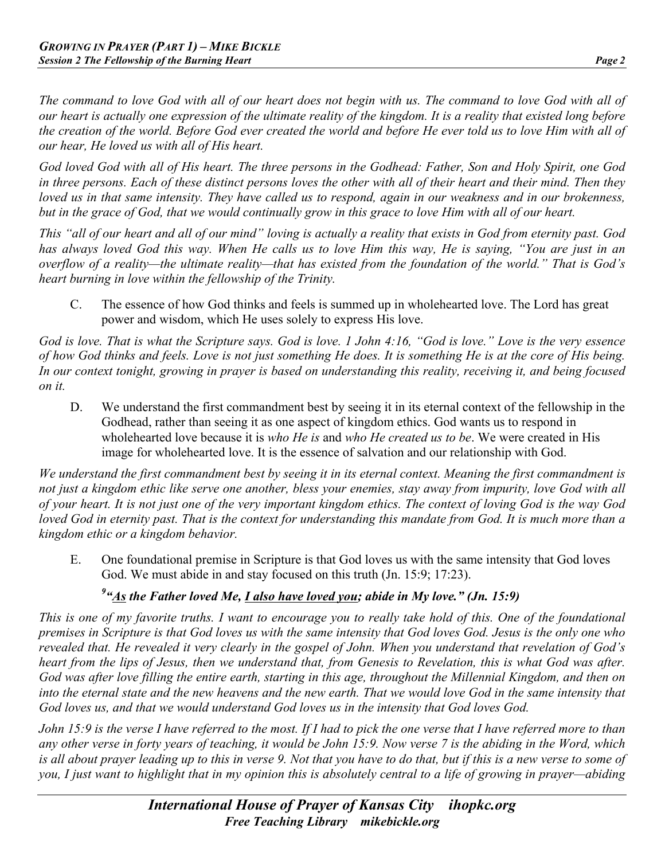*The command to love God with all of our heart does not begin with us. The command to love God with all of our heart is actually one expression of the ultimate reality of the kingdom. It is a reality that existed long before the creation of the world. Before God ever created the world and before He ever told us to love Him with all of our hear, He loved us with all of His heart.*

*God loved God with all of His heart. The three persons in the Godhead: Father, Son and Holy Spirit, one God in three persons. Each of these distinct persons loves the other with all of their heart and their mind. Then they loved us in that same intensity. They have called us to respond, again in our weakness and in our brokenness, but in the grace of God, that we would continually grow in this grace to love Him with all of our heart.*

*This "all of our heart and all of our mind" loving is actually a reality that exists in God from eternity past. God has always loved God this way. When He calls us to love Him this way, He is saying, "You are just in an overflow of a reality—the ultimate reality—that has existed from the foundation of the world." That is God's heart burning in love within the fellowship of the Trinity.*

C. The essence of how God thinks and feels is summed up in wholehearted love. The Lord has great power and wisdom, which He uses solely to express His love.

*God is love. That is what the Scripture says. God is love. 1 John 4:16, "God is love." Love is the very essence of how God thinks and feels. Love is not just something He does. It is something He is at the core of His being. In our context tonight, growing in prayer is based on understanding this reality, receiving it, and being focused on it.* 

D. We understand the first commandment best by seeing it in its eternal context of the fellowship in the Godhead, rather than seeing it as one aspect of kingdom ethics. God wants us to respond in wholehearted love because it is *who He is* and *who He created us to be*. We were created in His image for wholehearted love. It is the essence of salvation and our relationship with God.

*We understand the first commandment best by seeing it in its eternal context. Meaning the first commandment is not just a kingdom ethic like serve one another, bless your enemies, stay away from impurity, love God with all of your heart. It is not just one of the very important kingdom ethics. The context of loving God is the way God loved God in eternity past. That is the context for understanding this mandate from God. It is much more than a kingdom ethic or a kingdom behavior.* 

E. One foundational premise in Scripture is that God loves us with the same intensity that God loves God. We must abide in and stay focused on this truth (Jn. 15:9; 17:23).

# *9 "As the Father loved Me, I also have loved you; abide in My love." (Jn. 15:9)*

*This is one of my favorite truths. I want to encourage you to really take hold of this. One of the foundational premises in Scripture is that God loves us with the same intensity that God loves God. Jesus is the only one who revealed that. He revealed it very clearly in the gospel of John. When you understand that revelation of God's heart from the lips of Jesus, then we understand that, from Genesis to Revelation, this is what God was after. God was after love filling the entire earth, starting in this age, throughout the Millennial Kingdom, and then on*  into the eternal state and the new heavens and the new earth. That we would love God in the same intensity that *God loves us, and that we would understand God loves us in the intensity that God loves God.* 

*John 15:9 is the verse I have referred to the most. If I had to pick the one verse that I have referred more to than any other verse in forty years of teaching, it would be John 15:9. Now verse 7 is the abiding in the Word, which is all about prayer leading up to this in verse 9. Not that you have to do that, but if this is a new verse to some of you, I just want to highlight that in my opinion this is absolutely central to a life of growing in prayer—abiding*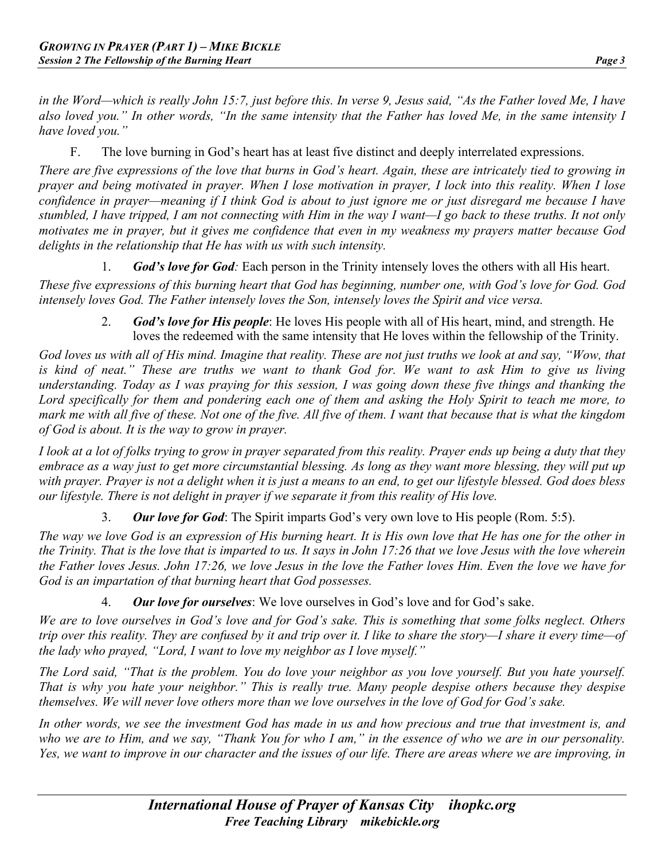*in the Word—which is really John 15:7, just before this. In verse 9, Jesus said, "As the Father loved Me, I have also loved you." In other words, "In the same intensity that the Father has loved Me, in the same intensity I have loved you."*

F. The love burning in God's heart has at least five distinct and deeply interrelated expressions.

*There are five expressions of the love that burns in God's heart. Again, these are intricately tied to growing in prayer and being motivated in prayer. When I lose motivation in prayer, I lock into this reality. When I lose confidence in prayer—meaning if I think God is about to just ignore me or just disregard me because I have stumbled, I have tripped, I am not connecting with Him in the way I want—I go back to these truths. It not only motivates me in prayer, but it gives me confidence that even in my weakness my prayers matter because God delights in the relationship that He has with us with such intensity.* 

1. *God's love for God:* Each person in the Trinity intensely loves the others with all His heart. *These five expressions of this burning heart that God has beginning, number one, with God's love for God. God intensely loves God. The Father intensely loves the Son, intensely loves the Spirit and vice versa.* 

2. *God's love for His people*: He loves His people with all of His heart, mind, and strength. He loves the redeemed with the same intensity that He loves within the fellowship of the Trinity.

*God loves us with all of His mind. Imagine that reality. These are not just truths we look at and say, "Wow, that is kind of neat." These are truths we want to thank God for. We want to ask Him to give us living understanding. Today as I was praying for this session, I was going down these five things and thanking the Lord specifically for them and pondering each one of them and asking the Holy Spirit to teach me more, to mark me with all five of these. Not one of the five. All five of them. I want that because that is what the kingdom of God is about. It is the way to grow in prayer.* 

*I look at a lot of folks trying to grow in prayer separated from this reality. Prayer ends up being a duty that they*  embrace as a way just to get more circumstantial blessing. As long as they want more blessing, they will put up *with prayer. Prayer is not a delight when it is just a means to an end, to get our lifestyle blessed. God does bless our lifestyle. There is not delight in prayer if we separate it from this reality of His love.*

3. *Our love for God*: The Spirit imparts God's very own love to His people (Rom. 5:5).

*The way we love God is an expression of His burning heart. It is His own love that He has one for the other in the Trinity. That is the love that is imparted to us. It says in John 17:26 that we love Jesus with the love wherein the Father loves Jesus. John 17:26, we love Jesus in the love the Father loves Him. Even the love we have for God is an impartation of that burning heart that God possesses.* 

4. *Our love for ourselves*: We love ourselves in God's love and for God's sake.

*We are to love ourselves in God's love and for God's sake. This is something that some folks neglect. Others trip over this reality. They are confused by it and trip over it. I like to share the story—I share it every time—of the lady who prayed, "Lord, I want to love my neighbor as I love myself."*

*The Lord said, "That is the problem. You do love your neighbor as you love yourself. But you hate yourself. That is why you hate your neighbor." This is really true. Many people despise others because they despise themselves. We will never love others more than we love ourselves in the love of God for God's sake.*

*In other words, we see the investment God has made in us and how precious and true that investment is, and who we are to Him, and we say, "Thank You for who I am," in the essence of who we are in our personality. Yes, we want to improve in our character and the issues of our life. There are areas where we are improving, in*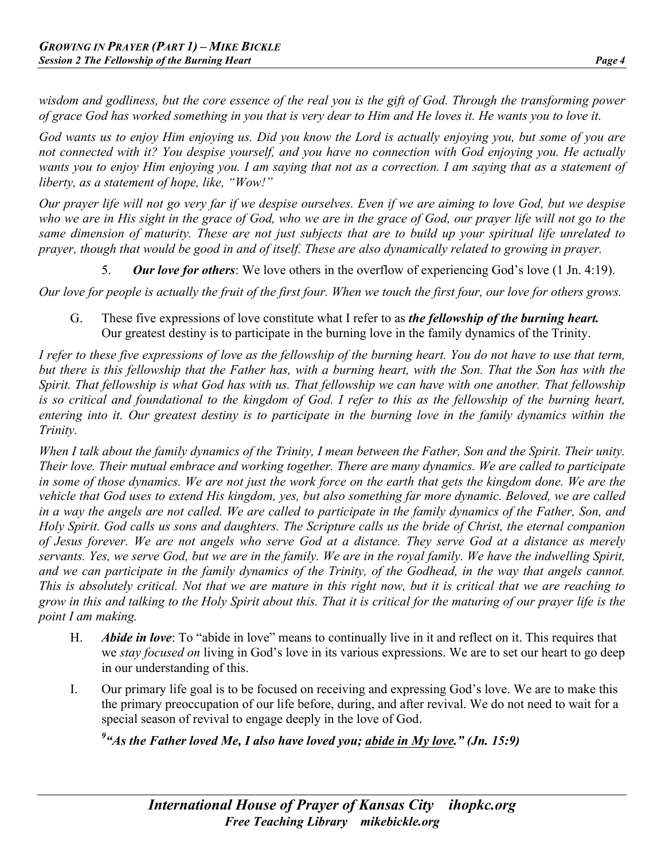*wisdom and godliness, but the core essence of the real you is the gift of God. Through the transforming power of grace God has worked something in you that is very dear to Him and He loves it. He wants you to love it.* 

*God wants us to enjoy Him enjoying us. Did you know the Lord is actually enjoying you, but some of you are not connected with it? You despise yourself, and you have no connection with God enjoying you. He actually wants you to enjoy Him enjoying you. I am saying that not as a correction. I am saying that as a statement of liberty, as a statement of hope, like, "Wow!"*

*Our prayer life will not go very far if we despise ourselves. Even if we are aiming to love God, but we despise who we are in His sight in the grace of God, who we are in the grace of God, our prayer life will not go to the same dimension of maturity. These are not just subjects that are to build up your spiritual life unrelated to prayer, though that would be good in and of itself. These are also dynamically related to growing in prayer.*

5. *Our love for others*: We love others in the overflow of experiencing God's love (1 Jn. 4:19).

*Our love for people is actually the fruit of the first four. When we touch the first four, our love for others grows.* 

G. These five expressions of love constitute what I refer to as *the fellowship of the burning heart.*  Our greatest destiny is to participate in the burning love in the family dynamics of the Trinity.

*I refer to these five expressions of love as the fellowship of the burning heart. You do not have to use that term, but there is this fellowship that the Father has, with a burning heart, with the Son. That the Son has with the Spirit. That fellowship is what God has with us. That fellowship we can have with one another. That fellowship is so critical and foundational to the kingdom of God. I refer to this as the fellowship of the burning heart,*  entering into it. Our greatest destiny is to participate in the burning love in the family dynamics within the *Trinity.* 

*When I talk about the family dynamics of the Trinity, I mean between the Father, Son and the Spirit. Their unity. Their love. Their mutual embrace and working together. There are many dynamics. We are called to participate in some of those dynamics. We are not just the work force on the earth that gets the kingdom done. We are the vehicle that God uses to extend His kingdom, yes, but also something far more dynamic. Beloved, we are called in a way the angels are not called. We are called to participate in the family dynamics of the Father, Son, and Holy Spirit. God calls us sons and daughters. The Scripture calls us the bride of Christ, the eternal companion of Jesus forever. We are not angels who serve God at a distance. They serve God at a distance as merely servants. Yes, we serve God, but we are in the family. We are in the royal family. We have the indwelling Spirit,* and we can participate in the family dynamics of the Trinity, of the Godhead, in the way that angels cannot. *This is absolutely critical. Not that we are mature in this right now, but it is critical that we are reaching to grow in this and talking to the Holy Spirit about this. That it is critical for the maturing of our prayer life is the point I am making.*

- H. *Abide in love*: To "abide in love" means to continually live in it and reflect on it. This requires that we *stay focused on* living in God's love in its various expressions. We are to set our heart to go deep in our understanding of this.
- I. Our primary life goal is to be focused on receiving and expressing God's love. We are to make this the primary preoccupation of our life before, during, and after revival. We do not need to wait for a special season of revival to engage deeply in the love of God.

<sup>9</sup> "As the Father loved Me, I also have loved you; <u>abide in My love</u>." (Jn. 15:9)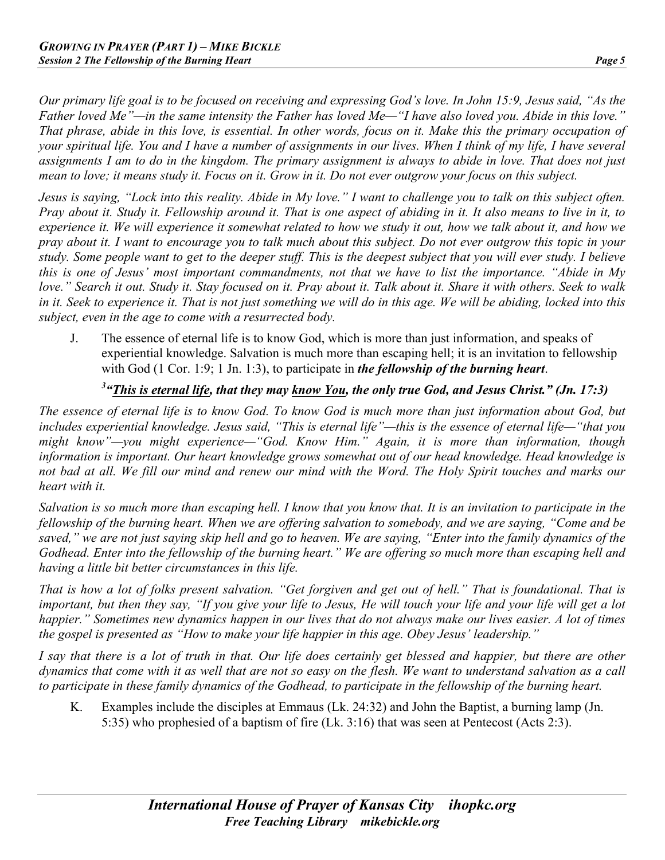*Our primary life goal is to be focused on receiving and expressing God's love. In John 15:9, Jesus said, "As the Father loved Me"—in the same intensity the Father has loved Me—"I have also loved you. Abide in this love." That phrase, abide in this love, is essential. In other words, focus on it. Make this the primary occupation of your spiritual life. You and I have a number of assignments in our lives. When I think of my life, I have several assignments I am to do in the kingdom. The primary assignment is always to abide in love. That does not just mean to love; it means study it. Focus on it. Grow in it. Do not ever outgrow your focus on this subject.* 

*Jesus is saying, "Lock into this reality. Abide in My love." I want to challenge you to talk on this subject often. Pray about it. Study it. Fellowship around it. That is one aspect of abiding in it. It also means to live in it, to experience it. We will experience it somewhat related to how we study it out, how we talk about it, and how we pray about it. I want to encourage you to talk much about this subject. Do not ever outgrow this topic in your study. Some people want to get to the deeper stuff. This is the deepest subject that you will ever study. I believe this is one of Jesus' most important commandments, not that we have to list the importance. "Abide in My love." Search it out. Study it. Stay focused on it. Pray about it. Talk about it. Share it with others. Seek to walk in it. Seek to experience it. That is not just something we will do in this age. We will be abiding, locked into this subject, even in the age to come with a resurrected body.*

J. The essence of eternal life is to know God, which is more than just information, and speaks of experiential knowledge. Salvation is much more than escaping hell; it is an invitation to fellowship with God (1 Cor. 1:9; 1 Jn. 1:3), to participate in *the fellowship of the burning heart*.

#### *3 "This is eternal life, that they may know You, the only true God, and Jesus Christ." (Jn. 17:3)*

*The essence of eternal life is to know God. To know God is much more than just information about God, but includes experiential knowledge. Jesus said, "This is eternal life"—this is the essence of eternal life—"that you might know"—you might experience—"God. Know Him." Again, it is more than information, though information is important. Our heart knowledge grows somewhat out of our head knowledge. Head knowledge is not bad at all. We fill our mind and renew our mind with the Word. The Holy Spirit touches and marks our heart with it.*

*Salvation is so much more than escaping hell. I know that you know that. It is an invitation to participate in the fellowship of the burning heart. When we are offering salvation to somebody, and we are saying, "Come and be saved," we are not just saying skip hell and go to heaven. We are saying, "Enter into the family dynamics of the Godhead. Enter into the fellowship of the burning heart." We are offering so much more than escaping hell and having a little bit better circumstances in this life.*

*That is how a lot of folks present salvation. "Get forgiven and get out of hell." That is foundational. That is important, but then they say, "If you give your life to Jesus, He will touch your life and your life will get a lot happier." Sometimes new dynamics happen in our lives that do not always make our lives easier. A lot of times the gospel is presented as "How to make your life happier in this age. Obey Jesus' leadership."*

*I say that there is a lot of truth in that. Our life does certainly get blessed and happier, but there are other dynamics that come with it as well that are not so easy on the flesh. We want to understand salvation as a call to participate in these family dynamics of the Godhead, to participate in the fellowship of the burning heart.* 

K. Examples include the disciples at Emmaus (Lk. 24:32) and John the Baptist, a burning lamp (Jn. 5:35) who prophesied of a baptism of fire (Lk. 3:16) that was seen at Pentecost (Acts 2:3).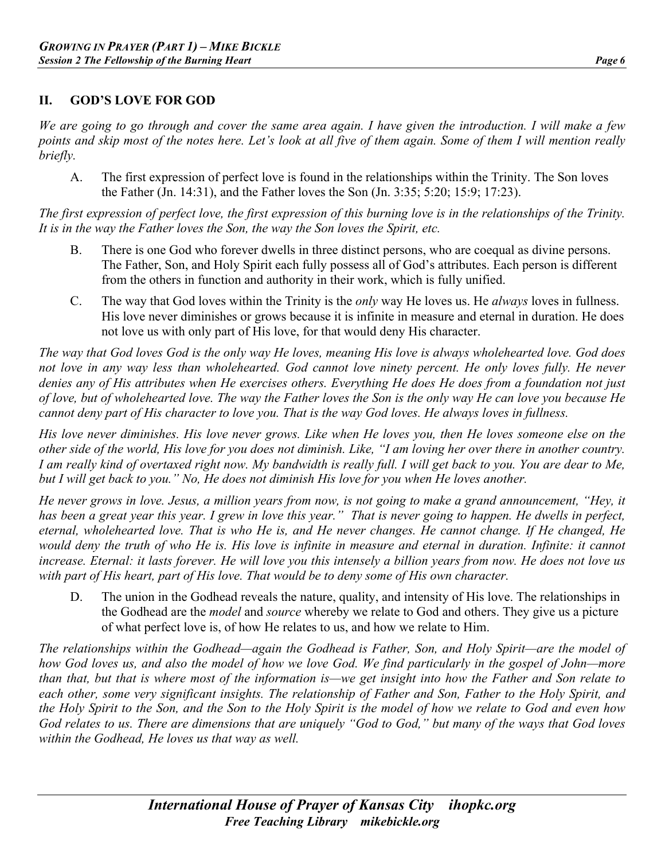#### **II. GOD'S LOVE FOR GOD**

*We are going to go through and cover the same area again. I have given the introduction. I will make a few points and skip most of the notes here. Let's look at all five of them again. Some of them I will mention really briefly.*

A. The first expression of perfect love is found in the relationships within the Trinity. The Son loves the Father (Jn. 14:31), and the Father loves the Son (Jn. 3:35; 5:20; 15:9; 17:23).

*The first expression of perfect love, the first expression of this burning love is in the relationships of the Trinity. It is in the way the Father loves the Son, the way the Son loves the Spirit, etc.*

- B. There is one God who forever dwells in three distinct persons, who are coequal as divine persons. The Father, Son, and Holy Spirit each fully possess all of God's attributes. Each person is different from the others in function and authority in their work, which is fully unified.
- C. The way that God loves within the Trinity is the *only* way He loves us. He *always* loves in fullness. His love never diminishes or grows because it is infinite in measure and eternal in duration. He does not love us with only part of His love, for that would deny His character.

*The way that God loves God is the only way He loves, meaning His love is always wholehearted love. God does*  not love in any way less than wholehearted. God cannot love ninety percent. He only loves fully. He never *denies any of His attributes when He exercises others. Everything He does He does from a foundation not just of love, but of wholehearted love. The way the Father loves the Son is the only way He can love you because He cannot deny part of His character to love you. That is the way God loves. He always loves in fullness.*

*His love never diminishes. His love never grows. Like when He loves you, then He loves someone else on the other side of the world, His love for you does not diminish. Like, "I am loving her over there in another country. I am really kind of overtaxed right now. My bandwidth is really full. I will get back to you. You are dear to Me, but I will get back to you." No, He does not diminish His love for you when He loves another.*

*He never grows in love. Jesus, a million years from now, is not going to make a grand announcement, "Hey, it*  has been a great year this year. I grew in love this year." That is never going to happen. He dwells in perfect, *eternal, wholehearted love. That is who He is, and He never changes. He cannot change. If He changed, He*  would deny the truth of who He is. His love is infinite in measure and eternal in duration. Infinite: it cannot *increase. Eternal: it lasts forever. He will love you this intensely a billion years from now. He does not love us with part of His heart, part of His love. That would be to deny some of His own character.* 

D. The union in the Godhead reveals the nature, quality, and intensity of His love. The relationships in the Godhead are the *model* and *source* whereby we relate to God and others. They give us a picture of what perfect love is, of how He relates to us, and how we relate to Him.

*The relationships within the Godhead—again the Godhead is Father, Son, and Holy Spirit—are the model of how God loves us, and also the model of how we love God. We find particularly in the gospel of John—more than that, but that is where most of the information is—we get insight into how the Father and Son relate to each other, some very significant insights. The relationship of Father and Son, Father to the Holy Spirit, and the Holy Spirit to the Son, and the Son to the Holy Spirit is the model of how we relate to God and even how God relates to us. There are dimensions that are uniquely "God to God," but many of the ways that God loves within the Godhead, He loves us that way as well.*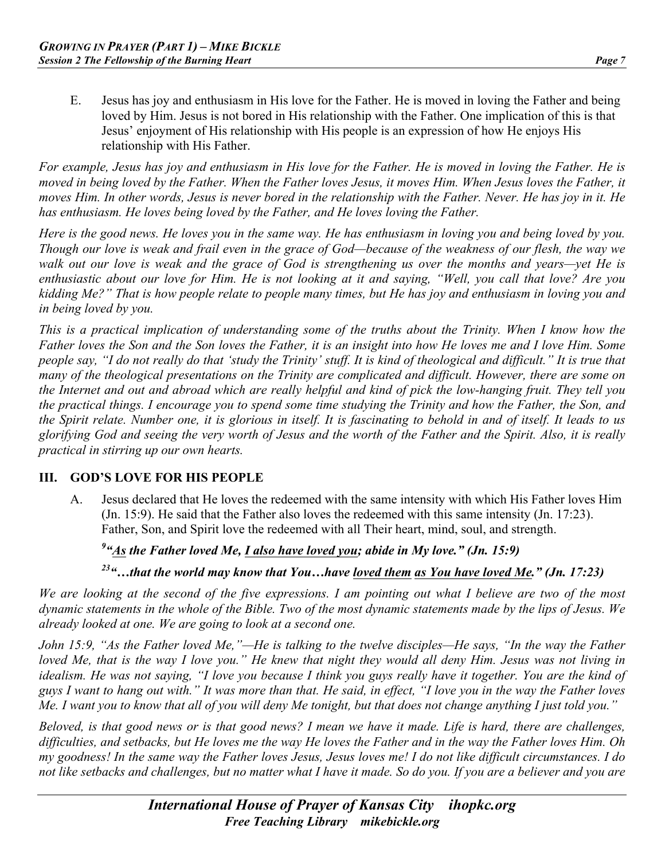E. Jesus has joy and enthusiasm in His love for the Father. He is moved in loving the Father and being loved by Him. Jesus is not bored in His relationship with the Father. One implication of this is that Jesus' enjoyment of His relationship with His people is an expression of how He enjoys His relationship with His Father.

*For example, Jesus has joy and enthusiasm in His love for the Father. He is moved in loving the Father. He is moved in being loved by the Father. When the Father loves Jesus, it moves Him. When Jesus loves the Father, it moves Him. In other words, Jesus is never bored in the relationship with the Father. Never. He has joy in it. He has enthusiasm. He loves being loved by the Father, and He loves loving the Father.*

*Here is the good news. He loves you in the same way. He has enthusiasm in loving you and being loved by you. Though our love is weak and frail even in the grace of God—because of the weakness of our flesh, the way we walk out our love is weak and the grace of God is strengthening us over the months and years—yet He is enthusiastic about our love for Him. He is not looking at it and saying, "Well, you call that love? Are you kidding Me?" That is how people relate to people many times, but He has joy and enthusiasm in loving you and in being loved by you.* 

*This is a practical implication of understanding some of the truths about the Trinity. When I know how the Father loves the Son and the Son loves the Father, it is an insight into how He loves me and I love Him. Some people say, "I do not really do that 'study the Trinity' stuff. It is kind of theological and difficult." It is true that many of the theological presentations on the Trinity are complicated and difficult. However, there are some on the Internet and out and abroad which are really helpful and kind of pick the low-hanging fruit. They tell you the practical things. I encourage you to spend some time studying the Trinity and how the Father, the Son, and the Spirit relate. Number one, it is glorious in itself. It is fascinating to behold in and of itself. It leads to us glorifying God and seeing the very worth of Jesus and the worth of the Father and the Spirit. Also, it is really practical in stirring up our own hearts.*

#### **III. GOD'S LOVE FOR HIS PEOPLE**

A. Jesus declared that He loves the redeemed with the same intensity with which His Father loves Him (Jn. 15:9). He said that the Father also loves the redeemed with this same intensity (Jn. 17:23). Father, Son, and Spirit love the redeemed with all Their heart, mind, soul, and strength.

#### *9 "As the Father loved Me, I also have loved you; abide in My love." (Jn. 15:9)*

*23"…that the world may know that You…have loved them as You have loved Me." (Jn. 17:23)*

*We are looking at the second of the five expressions. I am pointing out what I believe are two of the most dynamic statements in the whole of the Bible. Two of the most dynamic statements made by the lips of Jesus. We already looked at one. We are going to look at a second one.*

*John 15:9, "As the Father loved Me,"—He is talking to the twelve disciples—He says, "In the way the Father loved Me, that is the way I love you.*" He knew that night they would all deny Him. Jesus was not living in *idealism. He was not saying, "I love you because I think you guys really have it together. You are the kind of guys I want to hang out with." It was more than that. He said, in effect, "I love you in the way the Father loves Me. I want you to know that all of you will deny Me tonight, but that does not change anything I just told you."* 

*Beloved, is that good news or is that good news? I mean we have it made. Life is hard, there are challenges, difficulties, and setbacks, but He loves me the way He loves the Father and in the way the Father loves Him. Oh my goodness! In the same way the Father loves Jesus, Jesus loves me! I do not like difficult circumstances. I do not like setbacks and challenges, but no matter what I have it made. So do you. If you are a believer and you are*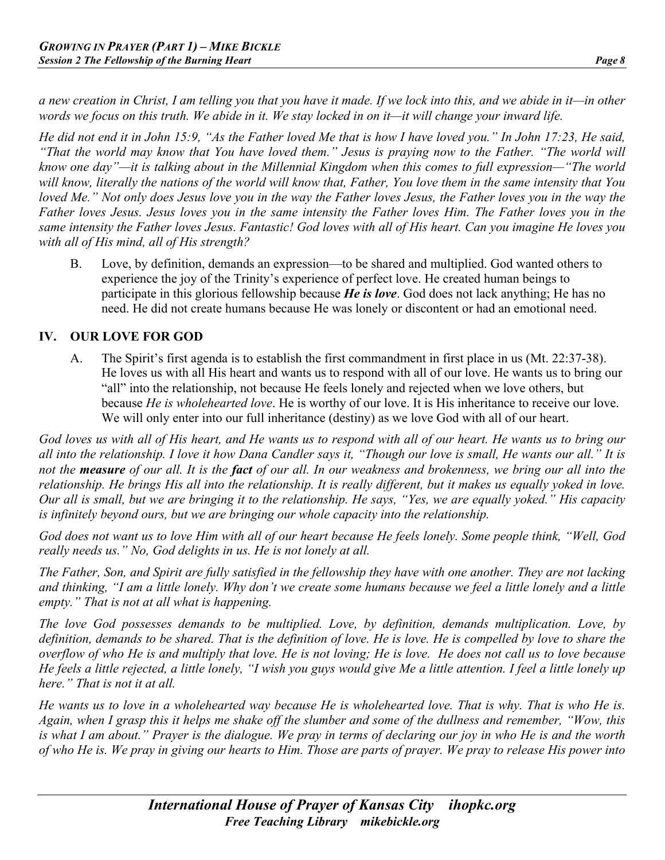*a new creation in Christ, I am telling you that you have it made. If we lock into this, and we abide in it—in other words we focus on this truth. We abide in it. We stay locked in on it—it will change your inward life.* 

*He did not end it in John 15:9, "As the Father loved Me that is how I have loved you." In John 17:23, He said, "That the world may know that You have loved them." Jesus is praying now to the Father. "The world will know one day"—it is talking about in the Millennial Kingdom when this comes to full expression—"The world will know, literally the nations of the world will know that, Father, You love them in the same intensity that You loved Me." Not only does Jesus love you in the way the Father loves Jesus, the Father loves you in the way the Father loves Jesus. Jesus loves you in the same intensity the Father loves Him. The Father loves you in the same intensity the Father loves Jesus. Fantastic! God loves with all of His heart. Can you imagine He loves you with all of His mind, all of His strength?*

B. Love, by definition, demands an expression—to be shared and multiplied. God wanted others to experience the joy of the Trinity's experience of perfect love. He created human beings to participate in this glorious fellowship because *He is love*. God does not lack anything; He has no need. He did not create humans because He was lonely or discontent or had an emotional need.

#### **IV. OUR LOVE FOR GOD**

A. The Spirit's first agenda is to establish the first commandment in first place in us (Mt. 22:37-38). He loves us with all His heart and wants us to respond with all of our love. He wants us to bring our "all" into the relationship, not because He feels lonely and rejected when we love others, but because *He is wholehearted love*. He is worthy of our love. It is His inheritance to receive our love. We will only enter into our full inheritance (destiny) as we love God with all of our heart.

*God loves us with all of His heart, and He wants us to respond with all of our heart. He wants us to bring our all into the relationship. I love it how Dana Candler says it, "Though our love is small, He wants our all." It is not the measure of our all. It is the fact of our all. In our weakness and brokenness, we bring our all into the relationship. He brings His all into the relationship. It is really different, but it makes us equally yoked in love. Our all is small, but we are bringing it to the relationship. He says, "Yes, we are equally yoked." His capacity is infinitely beyond ours, but we are bringing our whole capacity into the relationship.* 

*God does not want us to love Him with all of our heart because He feels lonely. Some people think, "Well, God really needs us." No, God delights in us. He is not lonely at all.*

*The Father, Son, and Spirit are fully satisfied in the fellowship they have with one another. They are not lacking and thinking, "I am a little lonely. Why don't we create some humans because we feel a little lonely and a little empty." That is not at all what is happening.*

*The love God possesses demands to be multiplied. Love, by definition, demands multiplication. Love, by*  definition, demands to be shared. That is the definition of love. He is love. He is compelled by love to share the *overflow of who He is and multiply that love. He is not loving; He is love. He does not call us to love because He feels a little rejected, a little lonely, "I wish you guys would give Me a little attention. I feel a little lonely up here." That is not it at all.*

*He wants us to love in a wholehearted way because He is wholehearted love. That is why. That is who He is. Again, when I grasp this it helps me shake off the slumber and some of the dullness and remember, "Wow, this is what I am about." Prayer is the dialogue. We pray in terms of declaring our joy in who He is and the worth of who He is. We pray in giving our hearts to Him. Those are parts of prayer. We pray to release His power into*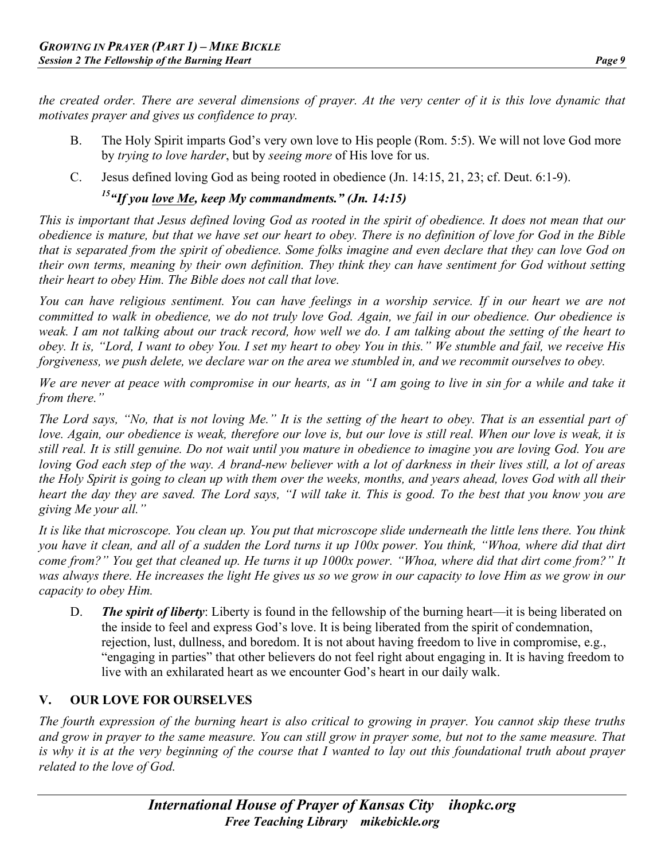*the created order. There are several dimensions of prayer. At the very center of it is this love dynamic that motivates prayer and gives us confidence to pray.* 

- B. The Holy Spirit imparts God's very own love to His people (Rom. 5:5). We will not love God more by *trying to love harder*, but by *seeing more* of His love for us.
- C. Jesus defined loving God as being rooted in obedience (Jn. 14:15, 21, 23; cf. Deut. 6:1-9).

*15"If you love Me, keep My commandments." (Jn. 14:15)* 

*This is important that Jesus defined loving God as rooted in the spirit of obedience. It does not mean that our obedience is mature, but that we have set our heart to obey. There is no definition of love for God in the Bible that is separated from the spirit of obedience. Some folks imagine and even declare that they can love God on their own terms, meaning by their own definition. They think they can have sentiment for God without setting their heart to obey Him. The Bible does not call that love.*

*You can have religious sentiment. You can have feelings in a worship service. If in our heart we are not committed to walk in obedience, we do not truly love God. Again, we fail in our obedience. Our obedience is weak. I am not talking about our track record, how well we do. I am talking about the setting of the heart to obey. It is, "Lord, I want to obey You. I set my heart to obey You in this." We stumble and fail, we receive His forgiveness, we push delete, we declare war on the area we stumbled in, and we recommit ourselves to obey.* 

*We are never at peace with compromise in our hearts, as in "I am going to live in sin for a while and take it from there."*

*The Lord says, "No, that is not loving Me." It is the setting of the heart to obey. That is an essential part of love. Again, our obedience is weak, therefore our love is, but our love is still real. When our love is weak, it is still real. It is still genuine. Do not wait until you mature in obedience to imagine you are loving God. You are loving God each step of the way. A brand-new believer with a lot of darkness in their lives still, a lot of areas the Holy Spirit is going to clean up with them over the weeks, months, and years ahead, loves God with all their heart the day they are saved. The Lord says, "I will take it. This is good. To the best that you know you are giving Me your all."* 

*It is like that microscope. You clean up. You put that microscope slide underneath the little lens there. You think you have it clean, and all of a sudden the Lord turns it up 100x power. You think, "Whoa, where did that dirt come from?" You get that cleaned up. He turns it up 1000x power. "Whoa, where did that dirt come from?" It was always there. He increases the light He gives us so we grow in our capacity to love Him as we grow in our capacity to obey Him.* 

D. *The spirit of liberty*: Liberty is found in the fellowship of the burning heart—it is being liberated on the inside to feel and express God's love. It is being liberated from the spirit of condemnation, rejection, lust, dullness, and boredom. It is not about having freedom to live in compromise, e.g., "engaging in parties" that other believers do not feel right about engaging in. It is having freedom to live with an exhilarated heart as we encounter God's heart in our daily walk.

# **V. OUR LOVE FOR OURSELVES**

*The fourth expression of the burning heart is also critical to growing in prayer. You cannot skip these truths and grow in prayer to the same measure. You can still grow in prayer some, but not to the same measure. That is why it is at the very beginning of the course that I wanted to lay out this foundational truth about prayer related to the love of God.*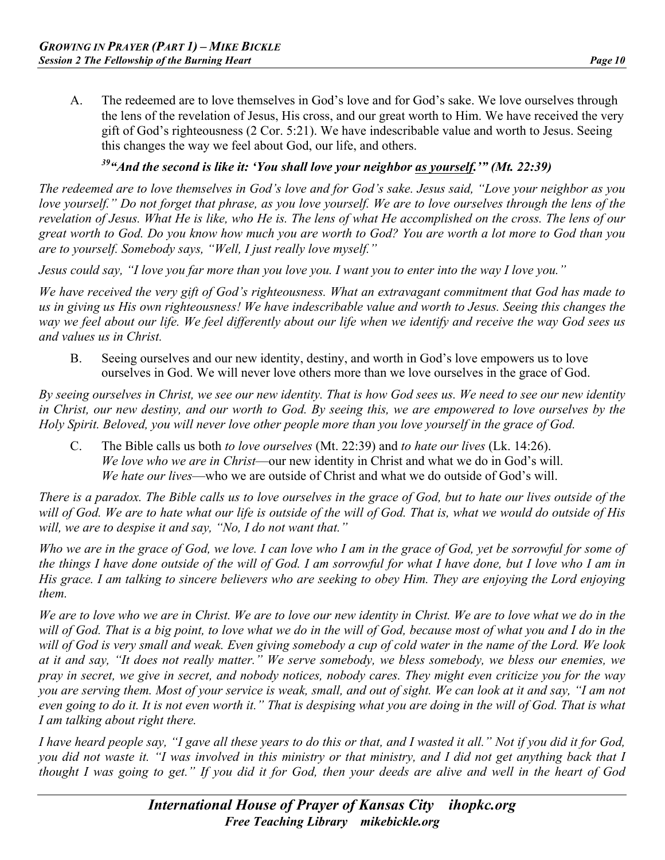A. The redeemed are to love themselves in God's love and for God's sake. We love ourselves through the lens of the revelation of Jesus, His cross, and our great worth to Him. We have received the very gift of God's righteousness (2 Cor. 5:21). We have indescribable value and worth to Jesus. Seeing this changes the way we feel about God, our life, and others.

# *39"And the second is like it: 'You shall love your neighbor as yourself.'" (Mt. 22:39)*

*The redeemed are to love themselves in God's love and for God's sake. Jesus said, "Love your neighbor as you love yourself." Do not forget that phrase, as you love yourself. We are to love ourselves through the lens of the revelation of Jesus. What He is like, who He is. The lens of what He accomplished on the cross. The lens of our great worth to God. Do you know how much you are worth to God? You are worth a lot more to God than you are to yourself. Somebody says, "Well, I just really love myself."*

*Jesus could say, "I love you far more than you love you. I want you to enter into the way I love you."* 

*We have received the very gift of God's righteousness. What an extravagant commitment that God has made to us in giving us His own righteousness! We have indescribable value and worth to Jesus. Seeing this changes the way we feel about our life. We feel differently about our life when we identify and receive the way God sees us and values us in Christ.* 

B. Seeing ourselves and our new identity, destiny, and worth in God's love empowers us to love ourselves in God. We will never love others more than we love ourselves in the grace of God.

*By seeing ourselves in Christ, we see our new identity. That is how God sees us. We need to see our new identity in Christ, our new destiny, and our worth to God. By seeing this, we are empowered to love ourselves by the Holy Spirit. Beloved, you will never love other people more than you love yourself in the grace of God.* 

C. The Bible calls us both *to love ourselves* (Mt. 22:39) and *to hate our lives* (Lk. 14:26). *We love who we are in Christ*—our new identity in Christ and what we do in God's will. *We hate our lives*—who we are outside of Christ and what we do outside of God's will.

*There is a paradox. The Bible calls us to love ourselves in the grace of God, but to hate our lives outside of the will of God. We are to hate what our life is outside of the will of God. That is, what we would do outside of His will, we are to despise it and say, "No, I do not want that."*

*Who we are in the grace of God, we love. I can love who I am in the grace of God, yet be sorrowful for some of the things I have done outside of the will of God. I am sorrowful for what I have done, but I love who I am in His grace. I am talking to sincere believers who are seeking to obey Him. They are enjoying the Lord enjoying them.* 

*We are to love who we are in Christ. We are to love our new identity in Christ. We are to love what we do in the*  will of God. That is a big point, to love what we do in the will of God, because most of what you and I do in the *will of God is very small and weak. Even giving somebody a cup of cold water in the name of the Lord. We look at it and say, "It does not really matter." We serve somebody, we bless somebody, we bless our enemies, we pray in secret, we give in secret, and nobody notices, nobody cares. They might even criticize you for the way you are serving them. Most of your service is weak, small, and out of sight. We can look at it and say, "I am not even going to do it. It is not even worth it." That is despising what you are doing in the will of God. That is what I am talking about right there.* 

*I have heard people say, "I gave all these years to do this or that, and I wasted it all." Not if you did it for God, you did not waste it. "I was involved in this ministry or that ministry, and I did not get anything back that I thought I was going to get." If you did it for God, then your deeds are alive and well in the heart of God*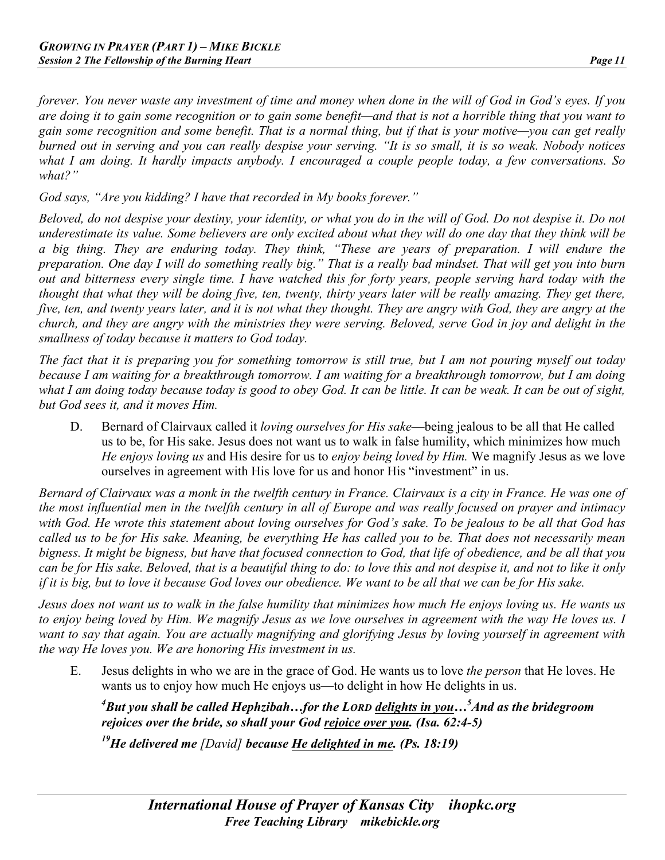*forever. You never waste any investment of time and money when done in the will of God in God's eyes. If you are doing it to gain some recognition or to gain some benefit—and that is not a horrible thing that you want to gain some recognition and some benefit. That is a normal thing, but if that is your motive—you can get really burned out in serving and you can really despise your serving. "It is so small, it is so weak. Nobody notices what I am doing. It hardly impacts anybody. I encouraged a couple people today, a few conversations. So what?"*

*God says, "Are you kidding? I have that recorded in My books forever."* 

*Beloved, do not despise your destiny, your identity, or what you do in the will of God. Do not despise it. Do not underestimate its value. Some believers are only excited about what they will do one day that they think will be a big thing. They are enduring today. They think, "These are years of preparation. I will endure the preparation. One day I will do something really big." That is a really bad mindset. That will get you into burn out and bitterness every single time. I have watched this for forty years, people serving hard today with the thought that what they will be doing five, ten, twenty, thirty years later will be really amazing. They get there, five, ten, and twenty years later, and it is not what they thought. They are angry with God, they are angry at the church, and they are angry with the ministries they were serving. Beloved, serve God in joy and delight in the smallness of today because it matters to God today.* 

*The fact that it is preparing you for something tomorrow is still true, but I am not pouring myself out today because I am waiting for a breakthrough tomorrow. I am waiting for a breakthrough tomorrow, but I am doing what I am doing today because today is good to obey God. It can be little. It can be weak. It can be out of sight, but God sees it, and it moves Him.* 

D. Bernard of Clairvaux called it *loving ourselves for His sake*—being jealous to be all that He called us to be, for His sake. Jesus does not want us to walk in false humility, which minimizes how much *He enjoys loving us* and His desire for us to *enjoy being loved by Him.* We magnify Jesus as we love ourselves in agreement with His love for us and honor His "investment" in us.

*Bernard of Clairvaux was a monk in the twelfth century in France. Clairvaux is a city in France. He was one of the most influential men in the twelfth century in all of Europe and was really focused on prayer and intimacy with God. He wrote this statement about loving ourselves for God's sake. To be jealous to be all that God has called us to be for His sake. Meaning, be everything He has called you to be. That does not necessarily mean bigness. It might be bigness, but have that focused connection to God, that life of obedience, and be all that you can be for His sake. Beloved, that is a beautiful thing to do: to love this and not despise it, and not to like it only if it is big, but to love it because God loves our obedience. We want to be all that we can be for His sake.* 

*Jesus does not want us to walk in the false humility that minimizes how much He enjoys loving us. He wants us to enjoy being loved by Him. We magnify Jesus as we love ourselves in agreement with the way He loves us. I want to say that again. You are actually magnifying and glorifying Jesus by loving yourself in agreement with the way He loves you. We are honoring His investment in us.* 

E. Jesus delights in who we are in the grace of God. He wants us to love *the person* that He loves. He wants us to enjoy how much He enjoys us—to delight in how He delights in us.

*4 But you shall be called Hephzibah…for the LORD delights in you…5 And as the bridegroom rejoices over the bride, so shall your God rejoice over you. (Isa. 62:4-5)*

*19He delivered me [David] because He delighted in me. (Ps. 18:19)*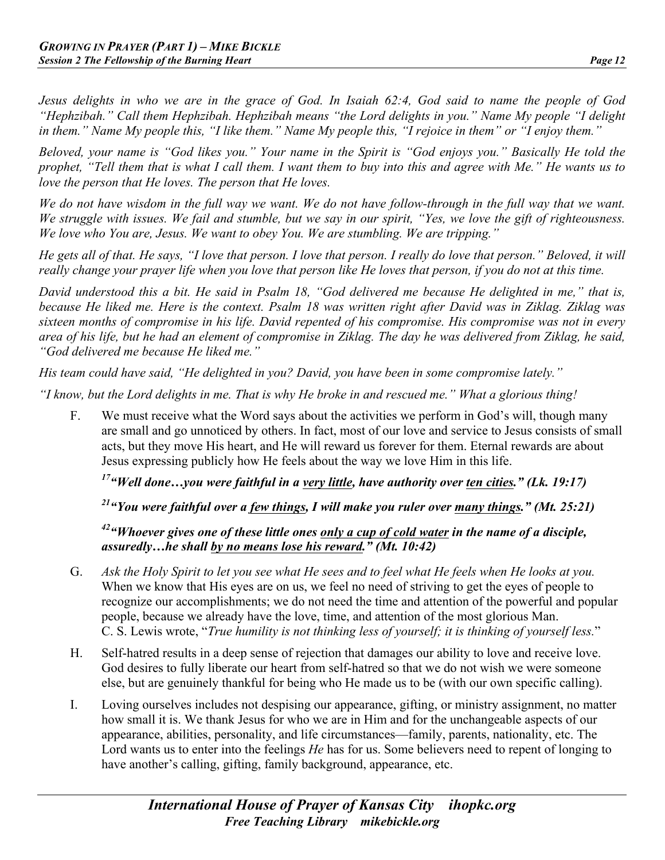*Jesus delights in who we are in the grace of God. In Isaiah 62:4, God said to name the people of God "Hephzibah." Call them Hephzibah. Hephzibah means "the Lord delights in you." Name My people "I delight in them." Name My people this, "I like them." Name My people this, "I rejoice in them" or "I enjoy them."*

*Beloved, your name is "God likes you." Your name in the Spirit is "God enjoys you." Basically He told the prophet, "Tell them that is what I call them. I want them to buy into this and agree with Me." He wants us to love the person that He loves. The person that He loves.* 

*We do not have wisdom in the full way we want. We do not have follow-through in the full way that we want. We struggle with issues. We fail and stumble, but we say in our spirit, "Yes, we love the gift of righteousness. We love who You are, Jesus. We want to obey You. We are stumbling. We are tripping."*

*He gets all of that. He says, "I love that person. I love that person. I really do love that person." Beloved, it will really change your prayer life when you love that person like He loves that person, if you do not at this time.*

*David understood this a bit. He said in Psalm 18, "God delivered me because He delighted in me," that is, because He liked me. Here is the context. Psalm 18 was written right after David was in Ziklag. Ziklag was sixteen months of compromise in his life. David repented of his compromise. His compromise was not in every area of his life, but he had an element of compromise in Ziklag. The day he was delivered from Ziklag, he said, "God delivered me because He liked me."*

*His team could have said, "He delighted in you? David, you have been in some compromise lately."*

*"I know, but the Lord delights in me. That is why He broke in and rescued me." What a glorious thing!*

F. We must receive what the Word says about the activities we perform in God's will, though many are small and go unnoticed by others. In fact, most of our love and service to Jesus consists of small acts, but they move His heart, and He will reward us forever for them. Eternal rewards are about Jesus expressing publicly how He feels about the way we love Him in this life.

*17"Well done…you were faithful in a very little, have authority over ten cities." (Lk. 19:17)* 

# *21"You were faithful over a few things, I will make you ruler over many things." (Mt. 25:21)*

#### *42"Whoever gives one of these little ones only a cup of cold water in the name of a disciple, assuredly…he shall by no means lose his reward." (Mt. 10:42)*

- G. *Ask the Holy Spirit to let you see what He sees and to feel what He feels when He looks at you.*  When we know that His eyes are on us, we feel no need of striving to get the eyes of people to recognize our accomplishments; we do not need the time and attention of the powerful and popular people, because we already have the love, time, and attention of the most glorious Man. C. S. Lewis wrote, "*True humility is not thinking less of yourself; it is thinking of yourself less.*"
- H. Self-hatred results in a deep sense of rejection that damages our ability to love and receive love. God desires to fully liberate our heart from self-hatred so that we do not wish we were someone else, but are genuinely thankful for being who He made us to be (with our own specific calling).
- I. Loving ourselves includes not despising our appearance, gifting, or ministry assignment, no matter how small it is. We thank Jesus for who we are in Him and for the unchangeable aspects of our appearance, abilities, personality, and life circumstances—family, parents, nationality, etc. The Lord wants us to enter into the feelings *He* has for us. Some believers need to repent of longing to have another's calling, gifting, family background, appearance, etc.